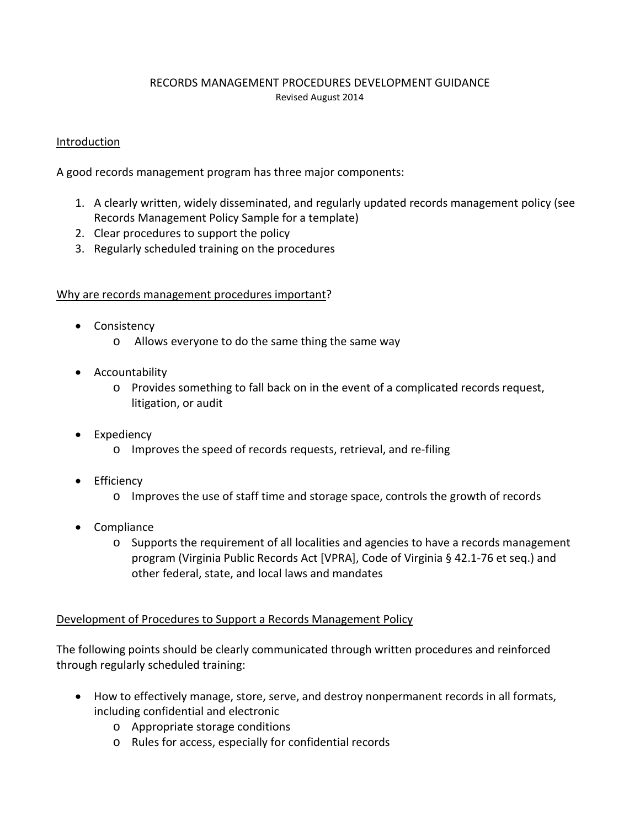## RECORDS MANAGEMENT PROCEDURES DEVELOPMENT GUIDANCE Revised August 2014

## Introduction

A good records management program has three major components:

- 1. A clearly written, widely disseminated, and regularly updated records management policy (see Records Management Policy Sample for a template)
- 2. Clear procedures to support the policy
- 3. Regularly scheduled training on the procedures

## Why are records management procedures important?

- Consistency
	- o Allows everyone to do the same thing the same way
- Accountability
	- o Provides something to fall back on in the event of a complicated records request, litigation, or audit
- Expediency
	- o Improves the speed of records requests, retrieval, and re-filing
- Efficiency
	- o Improves the use of staff time and storage space, controls the growth of records
- Compliance
	- o Supports the requirement of all localities and agencies to have a records management program (Virginia Public Records Act [VPRA], Code of Virginia § 42.1-76 et seq.) and other federal, state, and local laws and mandates

## Development of Procedures to Support a Records Management Policy

The following points should be clearly communicated through written procedures and reinforced through regularly scheduled training:

- How to effectively manage, store, serve, and destroy nonpermanent records in all formats, including confidential and electronic
	- o Appropriate storage conditions
	- o Rules for access, especially for confidential records